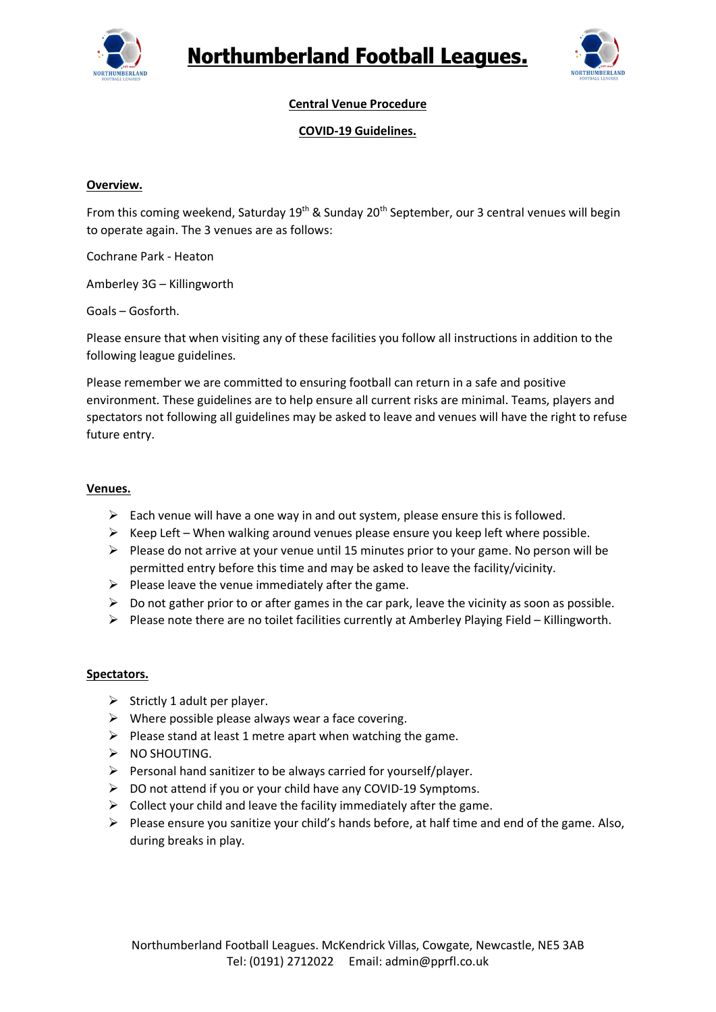



# **Central Venue Procedure**

### **COVID-19 Guidelines.**

### **Overview.**

From this coming weekend, Saturday 19<sup>th</sup> & Sunday 20<sup>th</sup> September, our 3 central venues will begin to operate again. The 3 venues are as follows:

Cochrane Park - Heaton

Amberley 3G – Killingworth

Goals – Gosforth.

Please ensure that when visiting any of these facilities you follow all instructions in addition to the following league guidelines.

Please remember we are committed to ensuring football can return in a safe and positive environment. These guidelines are to help ensure all current risks are minimal. Teams, players and spectators not following all guidelines may be asked to leave and venues will have the right to refuse future entry.

### **Venues.**

- $\triangleright$  Each venue will have a one way in and out system, please ensure this is followed.
- $\triangleright$  Keep Left When walking around venues please ensure you keep left where possible.
- $\triangleright$  Please do not arrive at your venue until 15 minutes prior to your game. No person will be permitted entry before this time and may be asked to leave the facility/vicinity.
- $\triangleright$  Please leave the venue immediately after the game.
- $\triangleright$  Do not gather prior to or after games in the car park, leave the vicinity as soon as possible.
- $\triangleright$  Please note there are no toilet facilities currently at Amberley Playing Field Killingworth.

#### **Spectators.**

- $\triangleright$  Strictly 1 adult per player.
- $\triangleright$  Where possible please always wear a face covering.
- $\triangleright$  Please stand at least 1 metre apart when watching the game.
- $\triangleright$  NO SHOUTING.
- $\triangleright$  Personal hand sanitizer to be always carried for yourself/player.
- $\triangleright$  DO not attend if you or your child have any COVID-19 Symptoms.
- $\triangleright$  Collect your child and leave the facility immediately after the game.
- $\triangleright$  Please ensure you sanitize your child's hands before, at half time and end of the game. Also, during breaks in play.